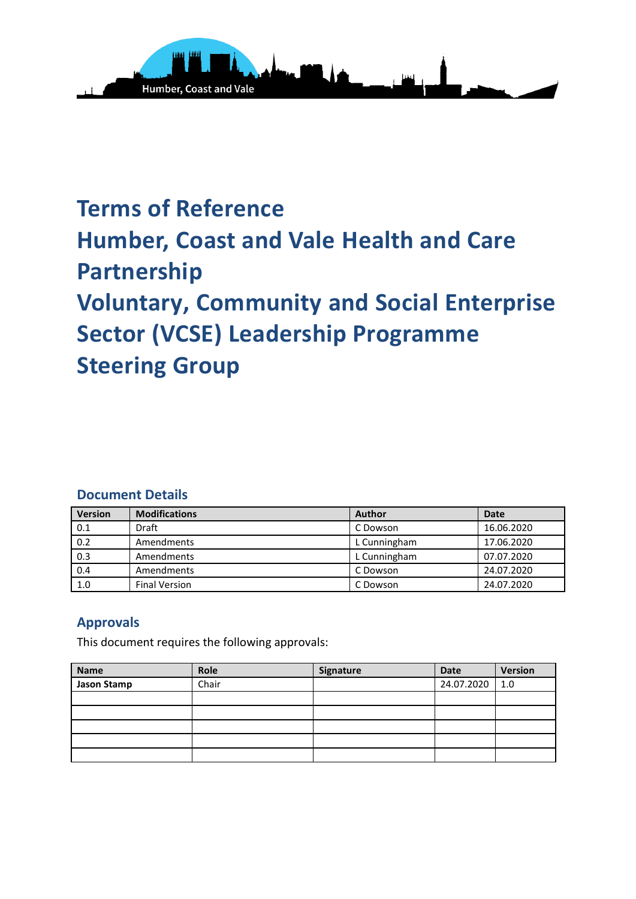

# **Terms of Reference Humber, Coast and Vale Health and Care Partnership Voluntary, Community and Social Enterprise Sector (VCSE) Leadership Programme Steering Group**

### **Document Details**

| <b>Version</b> | <b>Modifications</b> | <b>Author</b> | <b>Date</b> |
|----------------|----------------------|---------------|-------------|
| 0.1            | Draft                | C Dowson      | 16.06.2020  |
| 0.2            | Amendments           | L Cunningham  | 17.06.2020  |
| 0.3            | Amendments           | L Cunningham  | 07.07.2020  |
| 0.4            | Amendments           | C Dowson      | 24.07.2020  |
| 1.0            | <b>Final Version</b> | C Dowson      | 24.07.2020  |

### **Approvals**

This document requires the following approvals:

| <b>Name</b> | Role  | Signature | <b>Date</b> | <b>Version</b> |
|-------------|-------|-----------|-------------|----------------|
| Jason Stamp | Chair |           | 24.07.2020  | 1.0            |
|             |       |           |             |                |
|             |       |           |             |                |
|             |       |           |             |                |
|             |       |           |             |                |
|             |       |           |             |                |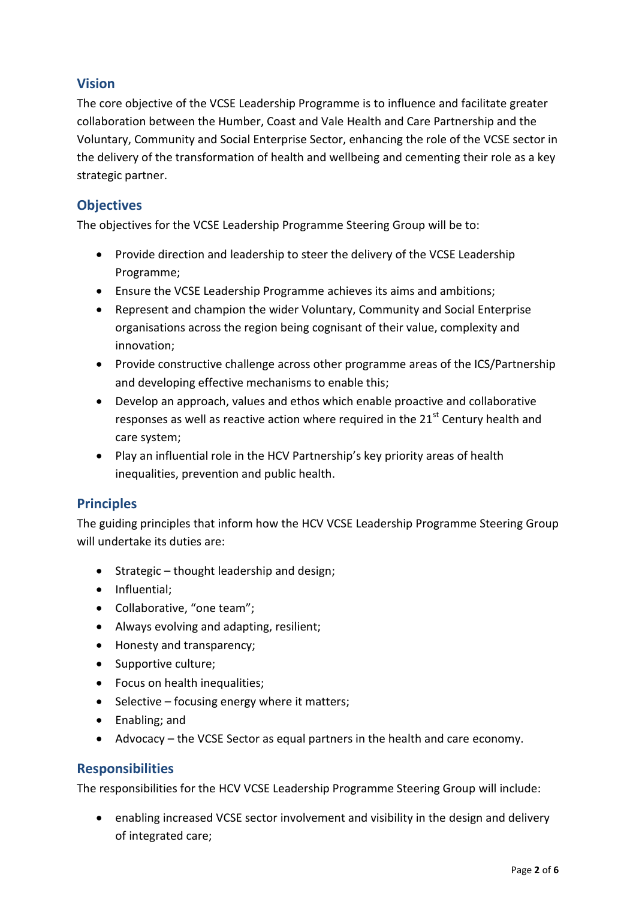## **Vision**

The core objective of the VCSE Leadership Programme is to influence and facilitate greater collaboration between the Humber, Coast and Vale Health and Care Partnership and the Voluntary, Community and Social Enterprise Sector, enhancing the role of the VCSE sector in the delivery of the transformation of health and wellbeing and cementing their role as a key strategic partner.

# **Objectives**

The objectives for the VCSE Leadership Programme Steering Group will be to:

- Provide direction and leadership to steer the delivery of the VCSE Leadership Programme;
- Ensure the VCSE Leadership Programme achieves its aims and ambitions;
- Represent and champion the wider Voluntary, Community and Social Enterprise organisations across the region being cognisant of their value, complexity and innovation;
- Provide constructive challenge across other programme areas of the ICS/Partnership and developing effective mechanisms to enable this;
- Develop an approach, values and ethos which enable proactive and collaborative responses as well as reactive action where required in the  $21<sup>st</sup>$  Century health and care system;
- Play an influential role in the HCV Partnership's key priority areas of health inequalities, prevention and public health.

# **Principles**

The guiding principles that inform how the HCV VCSE Leadership Programme Steering Group will undertake its duties are:

- Strategic thought leadership and design;
- Influential;
- Collaborative, "one team";
- Always evolving and adapting, resilient;
- Honesty and transparency;
- Supportive culture;
- Focus on health inequalities;
- $\bullet$  Selective focusing energy where it matters;
- Enabling; and
- Advocacy the VCSE Sector as equal partners in the health and care economy.

### **Responsibilities**

The responsibilities for the HCV VCSE Leadership Programme Steering Group will include:

• enabling increased VCSE sector involvement and visibility in the design and delivery of integrated care;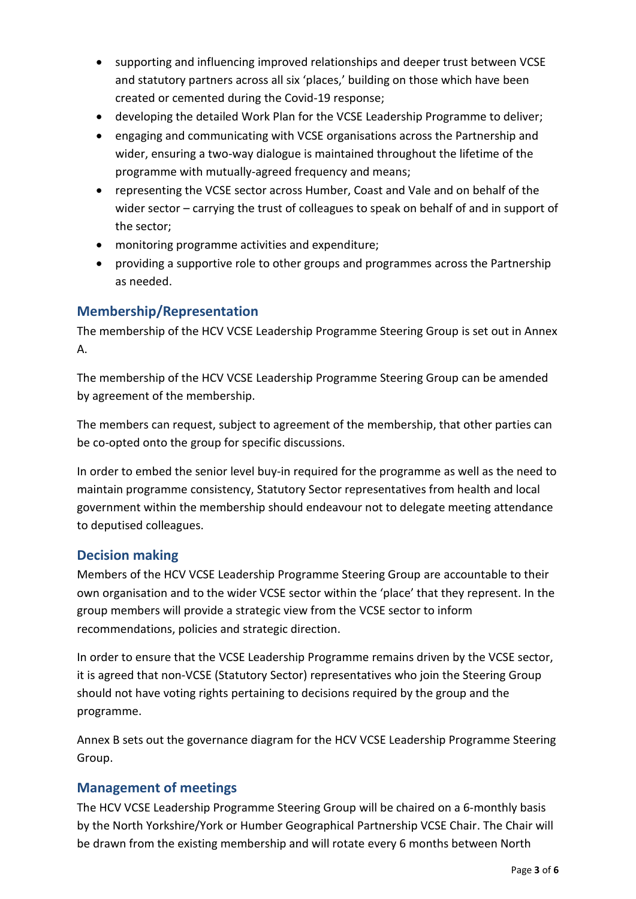- supporting and influencing improved relationships and deeper trust between VCSE and statutory partners across all six 'places,' building on those which have been created or cemented during the Covid-19 response;
- developing the detailed Work Plan for the VCSE Leadership Programme to deliver;
- engaging and communicating with VCSE organisations across the Partnership and wider, ensuring a two-way dialogue is maintained throughout the lifetime of the programme with mutually-agreed frequency and means;
- representing the VCSE sector across Humber, Coast and Vale and on behalf of the wider sector – carrying the trust of colleagues to speak on behalf of and in support of the sector;
- monitoring programme activities and expenditure;
- providing a supportive role to other groups and programmes across the Partnership as needed.

# **Membership/Representation**

The membership of the HCV VCSE Leadership Programme Steering Group is set out in Annex A.

The membership of the HCV VCSE Leadership Programme Steering Group can be amended by agreement of the membership.

The members can request, subject to agreement of the membership, that other parties can be co-opted onto the group for specific discussions.

In order to embed the senior level buy-in required for the programme as well as the need to maintain programme consistency, Statutory Sector representatives from health and local government within the membership should endeavour not to delegate meeting attendance to deputised colleagues.

### **Decision making**

Members of the HCV VCSE Leadership Programme Steering Group are accountable to their own organisation and to the wider VCSE sector within the 'place' that they represent. In the group members will provide a strategic view from the VCSE sector to inform recommendations, policies and strategic direction.

In order to ensure that the VCSE Leadership Programme remains driven by the VCSE sector, it is agreed that non-VCSE (Statutory Sector) representatives who join the Steering Group should not have voting rights pertaining to decisions required by the group and the programme.

Annex B sets out the governance diagram for the HCV VCSE Leadership Programme Steering Group.

# **Management of meetings**

The HCV VCSE Leadership Programme Steering Group will be chaired on a 6-monthly basis by the North Yorkshire/York or Humber Geographical Partnership VCSE Chair. The Chair will be drawn from the existing membership and will rotate every 6 months between North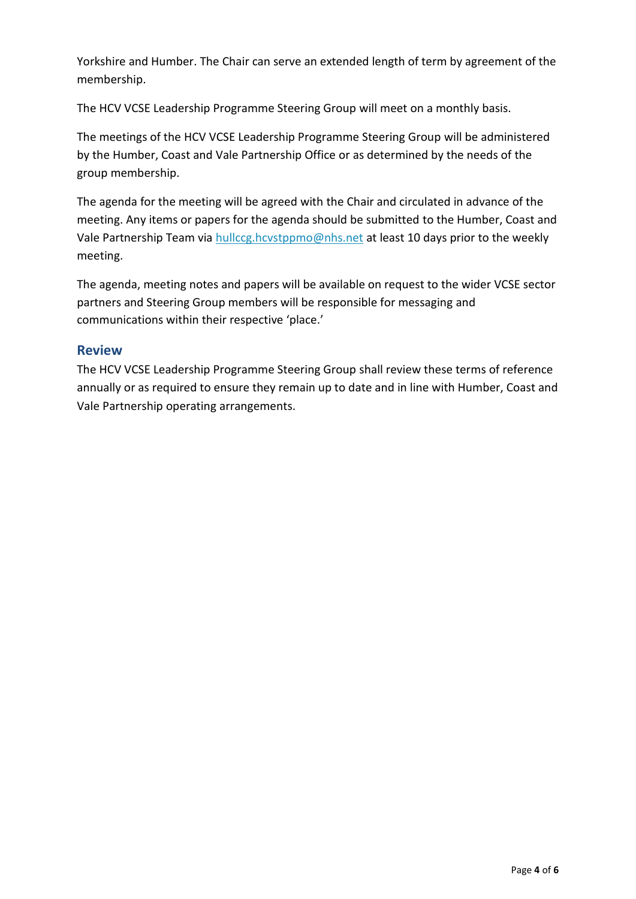Yorkshire and Humber. The Chair can serve an extended length of term by agreement of the membership.

The HCV VCSE Leadership Programme Steering Group will meet on a monthly basis.

The meetings of the HCV VCSE Leadership Programme Steering Group will be administered by the Humber, Coast and Vale Partnership Office or as determined by the needs of the group membership.

The agenda for the meeting will be agreed with the Chair and circulated in advance of the meeting. Any items or papers for the agenda should be submitted to the Humber, Coast and Vale Partnership Team via [hullccg.hcvstppmo@nhs.net](mailto:hullccg.hcvstppmo@nhs.net) at least 10 days prior to the weekly meeting.

The agenda, meeting notes and papers will be available on request to the wider VCSE sector partners and Steering Group members will be responsible for messaging and communications within their respective 'place.'

#### **Review**

The HCV VCSE Leadership Programme Steering Group shall review these terms of reference annually or as required to ensure they remain up to date and in line with Humber, Coast and Vale Partnership operating arrangements.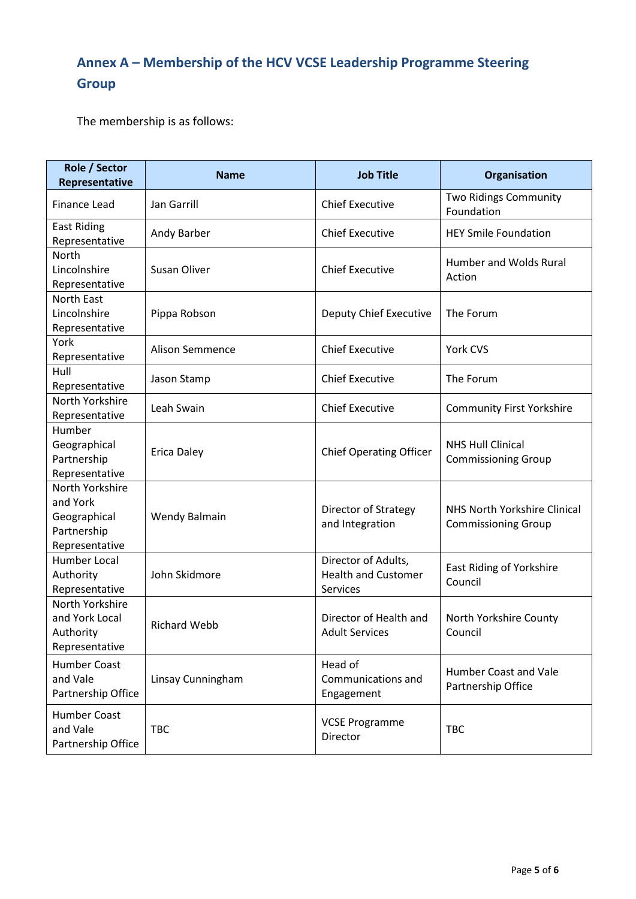# **Annex A – Membership of the HCV VCSE Leadership Programme Steering Group**

The membership is as follows:

| Role / Sector<br>Representative                                              | <b>Name</b>            | <b>Job Title</b>                                              | Organisation                                               |
|------------------------------------------------------------------------------|------------------------|---------------------------------------------------------------|------------------------------------------------------------|
| Finance Lead                                                                 | Jan Garrill            | <b>Chief Executive</b>                                        | <b>Two Ridings Community</b><br>Foundation                 |
| <b>East Riding</b><br>Representative                                         | Andy Barber            | <b>Chief Executive</b>                                        | <b>HEY Smile Foundation</b>                                |
| North<br>Lincolnshire<br>Representative                                      | Susan Oliver           | <b>Chief Executive</b>                                        | Humber and Wolds Rural<br>Action                           |
| North East<br>Lincolnshire<br>Representative                                 | Pippa Robson           | Deputy Chief Executive                                        | The Forum                                                  |
| York<br>Representative                                                       | <b>Alison Semmence</b> | <b>Chief Executive</b>                                        | York CVS                                                   |
| Hull<br>Representative                                                       | Jason Stamp            | <b>Chief Executive</b>                                        | The Forum                                                  |
| North Yorkshire<br>Representative                                            | Leah Swain             | <b>Chief Executive</b>                                        | <b>Community First Yorkshire</b>                           |
| Humber<br>Geographical<br>Partnership<br>Representative                      | <b>Erica Daley</b>     | <b>Chief Operating Officer</b>                                | <b>NHS Hull Clinical</b><br><b>Commissioning Group</b>     |
| North Yorkshire<br>and York<br>Geographical<br>Partnership<br>Representative | Wendy Balmain          | Director of Strategy<br>and Integration                       | NHS North Yorkshire Clinical<br><b>Commissioning Group</b> |
| Humber Local<br>Authority<br>Representative                                  | John Skidmore          | Director of Adults,<br><b>Health and Customer</b><br>Services | East Riding of Yorkshire<br>Council                        |
| North Yorkshire<br>and York Local<br>Authority<br>Representative             | <b>Richard Webb</b>    | Director of Health and<br><b>Adult Services</b>               | North Yorkshire County<br>Council                          |
| <b>Humber Coast</b><br>and Vale<br>Partnership Office                        | Linsay Cunningham      | Head of<br>Communications and<br>Engagement                   | <b>Humber Coast and Vale</b><br>Partnership Office         |
| Humber Coast<br>and Vale<br>Partnership Office                               | <b>TBC</b>             | <b>VCSE Programme</b><br>Director                             | <b>TBC</b>                                                 |